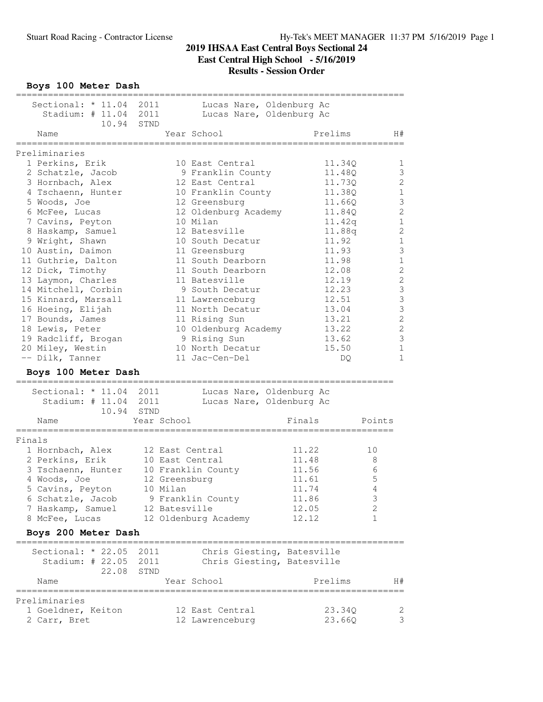**Boys 100 Meter Dash**

| Sectional: * 11.04 2011  | Lucas Nare, Oldenburg Ac               |             |                                       |
|--------------------------|----------------------------------------|-------------|---------------------------------------|
| Stadium: # 11.04 2011    | Lucas Nare, Oldenburg Ac               |             |                                       |
|                          | 10.94 STND                             |             |                                       |
| Name                     | Year School                            | Prelims     | H#                                    |
| Preliminaries            |                                        |             |                                       |
| 1 Perkins, Erik          | 10 East Central                        | 11.34Q      | $\mathbf{1}$                          |
| 2 Schatzle, Jacob        | 9 Franklin County                      | 11.48Q      | $\mathfrak{Z}$                        |
| 3 Hornbach, Alex         | 12 East Central                        | 11.73Q      | $\mathbf{2}$                          |
| 4 Tschaenn, Hunter       | 10 Franklin County                     | 11.38Q      | $\,1\,$                               |
| 5 Woods, Joe             | 12 Greensburg                          | 11.66Q      | $\mathfrak{Z}$                        |
| 6 McFee, Lucas           | 12 Oldenburg Academy                   | 11.84Q      | $\sqrt{2}$                            |
| 7 Cavins, Peyton         | 10 Milan                               | 11.42q      | $\mathbf 1$                           |
| 8 Haskamp, Samuel        | 12 Batesville                          | 11.88q      | $\overline{c}$                        |
| 9 Wright, Shawn          | 10 South Decatur                       | 11.92       | $\mathbf 1$                           |
| 10 Austin, Daimon        | 11 Greensburg                          | 11.93       | $\mathfrak{Z}$                        |
| 11 Guthrie, Dalton       | 11 South Dearborn                      | 11.98       | $\mathbf 1$                           |
| 12 Dick, Timothy         | 11 South Dearborn                      | 12.08       | $\mathbf{2}$                          |
| 13 Laymon, Charles       | 11 Batesville                          | 12.19       | $\sqrt{2}$                            |
| 14 Mitchell, Corbin      | 9 South Decatur                        | 12.23       | $\mathfrak{Z}$                        |
| 15 Kinnard, Marsall      | 11 Lawrenceburg                        | 12.51       |                                       |
| 16 Hoeing, Elijah        | 11 North Decatur                       | 13.04       | $\begin{array}{c} 3 \\ 3 \end{array}$ |
| 17 Bounds, James         | 11 Rising Sun                          | 13.21       | $\overline{c}$                        |
| 18 Lewis, Peter          | 10 Oldenburg Academy                   | 13.22       | $\mathbf{2}$                          |
| 19 Radcliff, Brogan      | 9 Rising Sun                           | 13.62       | $\mathfrak{Z}$                        |
| 20 Miley, Westin         | 10 North Decatur                       | 15.50       | $\mathbf 1$                           |
| -- Dilk, Tanner          | 11 Jac-Cen-Del                         | DQ          | $\mathbf{1}$                          |
| Boys 100 Meter Dash      |                                        |             |                                       |
|                          |                                        |             |                                       |
| Sectional: * 11.04 2011  | Lucas Nare, Oldenburg Ac               |             |                                       |
| Stadium: # 11.04 2011    | Lucas Nare, Oldenburg Ac<br>10.94 STND |             |                                       |
| Name                     | Year School                            | Finals      | Points                                |
|                          |                                        |             |                                       |
| Finals                   |                                        |             |                                       |
| 1 Hornbach, Alex         | 12 East Central                        | 11.22<br>10 |                                       |
| 2 Perkins, Erik          | 10 East Central                        | 11.48       | 8                                     |
| 3 Tschaenn, Hunter       | 10 Franklin County                     | 11.56       | 6                                     |
| 4 Woods, Joe             | 12 Greensburg                          | 11.61       | 5                                     |
| 5 Cavins, Peyton         | 10 Milan                               | 11.74       | $\overline{4}$                        |
| 6 Schatzle, Jacob        | 9 Franklin County                      | 11.86       | 3                                     |
| 7 Haskamp, Samuel        | 12 Batesville                          | 12.05       | 2                                     |
| 8 McFee, Lucas           | 12 Oldenburg Academy                   | 12.12       | 1                                     |
| Boys 200 Meter Dash      |                                        |             |                                       |
| Sectional: $\star$ 22.05 | 2011<br>Chris Giesting, Batesville     |             |                                       |
| Stadium: $\#$ 22.05      | Chris Giesting, Batesville<br>2011     |             |                                       |
| 22.08                    | STND                                   |             |                                       |
| Name                     | Year School                            | Prelims     | H#                                    |
| Preliminaries            |                                        |             |                                       |
| 1 Goeldner, Keiton       | 12 East Central                        | 23.34Q      | 2                                     |
| 2 Carr, Bret             | 12 Lawrenceburg                        | 23.66Q      | 3                                     |
|                          |                                        |             |                                       |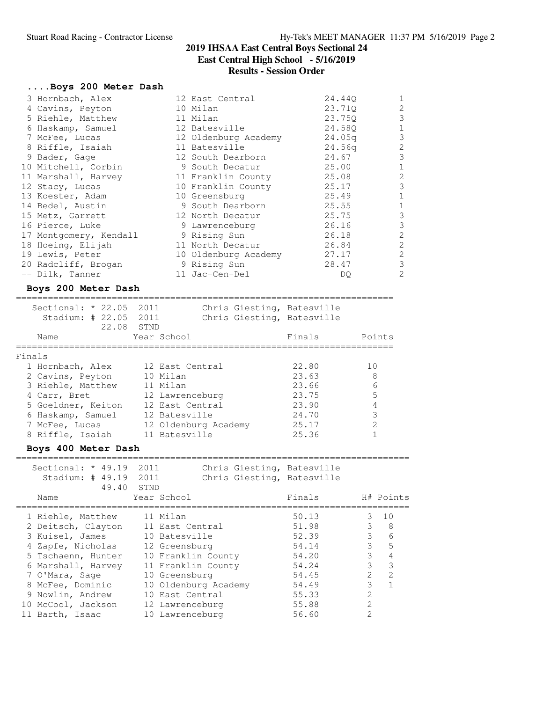### **....Boys 200 Meter Dash**

| 3 Hornbach, Alex       | 12 East Central      | 24.44Q             | 1              |
|------------------------|----------------------|--------------------|----------------|
| 4 Cavins, Peyton       | 10 Milan             | 23.71Q             | $\mathbf{2}$   |
| 5 Riehle, Matthew      | 11 Milan             | 23.750             | 3              |
| 6 Haskamp, Samuel      | 12 Batesville        | 24.58Q             | $\mathbf 1$    |
| 7 McFee, Lucas         | 12 Oldenburg Academy | 24.05g             | 3              |
| 8 Riffle, Isaiah       | 11 Batesville        | 24.56 <sub>q</sub> | $\overline{2}$ |
| 9 Bader, Gage          | 12 South Dearborn    | 24.67              | 3              |
| 10 Mitchell, Corbin    | 9 South Decatur      | 25.00              | $\mathbf{1}$   |
| 11 Marshall, Harvey    | 11 Franklin County   | 25.08              | 2              |
| 12 Stacy, Lucas        | 10 Franklin County   | 25.17              | 3              |
| 13 Koester, Adam       | 10 Greensburg        | 25.49              | 1              |
| 14 Bedel, Austin       | 9 South Dearborn     | 25.55              | $\mathbf{1}$   |
| 15 Metz, Garrett       | 12 North Decatur     | 25.75              | 3              |
| 16 Pierce, Luke        | 9 Lawrenceburg       | 26.16              | 3              |
| 17 Montgomery, Kendall | 9 Rising Sun         | 26.18              | $\overline{2}$ |
| 18 Hoeing, Elijah      | 11 North Decatur     | 26.84              | $\overline{2}$ |
| 19 Lewis, Peter        | 10 Oldenburg Academy | 27.17              | $\overline{2}$ |
| 20 Radcliff, Brogan    | 9 Rising Sun         | 28.47              | 3              |
| -- Dilk, Tanner        | 11 Jac-Cen-Del       | DQ.                | $\overline{2}$ |

### **Boys 200 Meter Dash**

|        | Sectional: $* 22.05 2011$<br>Stadium: # 22.05 2011 | 22.08<br>STND |                      |  | Chris Giesting, Batesville<br>Chris Giesting, Batesville |               |
|--------|----------------------------------------------------|---------------|----------------------|--|----------------------------------------------------------|---------------|
|        | Name                                               |               | Year School          |  | Finals                                                   | Points        |
| Finals |                                                    |               |                      |  |                                                          |               |
|        | 1 Hornbach, Alex                                   |               | 12 East Central      |  | 22.80                                                    | 1 O           |
|        | 2 Cavins, Peyton                                   |               | 10 Milan             |  | 23.63                                                    | 8             |
|        | 3 Riehle, Matthew                                  |               | 11 Milan             |  | 23.66                                                    | 6             |
|        | 4 Carr, Bret                                       |               | 12 Lawrenceburg      |  | 23.75                                                    | 5             |
|        | 5 Goeldner, Keiton                                 |               | 12 East Central      |  | 23.90                                                    | 4             |
|        | 6 Haskamp, Samuel                                  |               | 12 Batesville        |  | 24.70                                                    | 3             |
|        | 7 McFee, Lucas                                     |               | 12 Oldenburg Academy |  | 25.17                                                    | $\mathcal{P}$ |
|        | 8 Riffle, Isaiah                                   |               | 11 Batesville        |  | 25.36                                                    |               |
|        |                                                    |               |                      |  |                                                          |               |

=======================================================================

### **Boys 400 Meter Dash**

| Sectional: $*$ 49.19<br>Stadium: $#49.19$<br>49.40 | 2011<br>2011<br>STND | Chris Giesting, Batesville<br>Chris Giesting, Batesville |        |               |               |
|----------------------------------------------------|----------------------|----------------------------------------------------------|--------|---------------|---------------|
| Name                                               |                      | Year School                                              | Finals |               | H# Points     |
| 1 Riehle, Matthew                                  |                      | 11 Milan                                                 | 50.13  | 3             | 1 O           |
| 2 Deitsch, Clayton                                 |                      | 11 East Central                                          | 51.98  | 3             | 8             |
| 3 Kuisel, James                                    |                      | 10 Batesville                                            | 52.39  | 3             | 6             |
| 4 Zapfe, Nicholas                                  |                      | 12 Greensburg                                            | 54.14  | 3             | 5             |
| 5 Tschaenn, Hunter                                 |                      | 10 Franklin County                                       | 54.20  | 3             | 4             |
| 6 Marshall, Harvey                                 |                      | 11 Franklin County                                       | 54.24  | 3             | 3             |
| 7 O'Mara, Sage                                     |                      | 10 Greensburg                                            | 54.45  | $\mathcal{L}$ | $\mathcal{L}$ |
| 8 McFee, Dominic                                   |                      | 10 Oldenburg Academy                                     | 54.49  | 3             |               |
| 9 Nowlin, Andrew                                   |                      | 10 East Central                                          | 55.33  | 2             |               |
| 10 McCool, Jackson                                 |                      | 12 Lawrenceburg                                          | 55.88  | $\mathcal{P}$ |               |
| 11 Barth, Isaac                                    |                      | 10 Lawrenceburg                                          | 56.60  | 2             |               |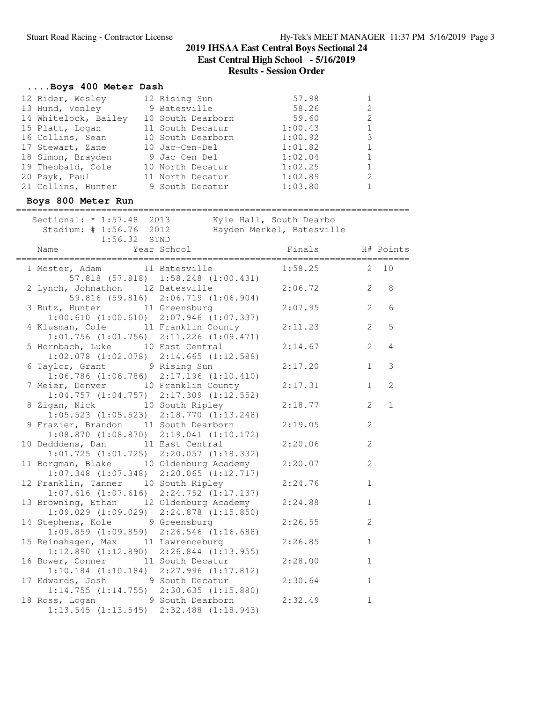#### **....Boys 400 Meter Dash** 12 Rider, Wesley 12 Rising Sun 57.98 1 13 Hund, Vonley 9 Batesville 58.26 2 14 Whitelock, Bailey 10 South Dearborn 59.60 2 15 Platt, Logan 11 South Decatur 1:00.43 1 16 Collins, Sean 10 South Dearborn 1:00.92 3 17 Stewart, Zane 10 Jac-Cen-Del 1:01.82 1 18 Simon, Brayden 9 Jac-Cen-Del 1:02.04 1 19 Theobald, Cole 10 North Decatur 1:02.25 1 20 Psyk, Paul 11 North Decatur 1:02.89 2 21 Collins, Hunter 9 South Decatur 1:03.80 1 **Boys 800 Meter Run** ========================================================================== Sectional: \* 1:57.48 2013 Kyle Hall, South Dearbo Stadium: # 1:56.76 2012 Hayden Merkel, Batesville 1:56.32 STND Name Year School Finals H# Points ========================================================================== 1 Moster, Adam 11 Batesville 1:58.25 2 10 57.818 (57.818) 1:58.248 (1:00.431) 2 Lynch, Johnathon 12 Batesville 2:06.72 2 8 59.816 (59.816) 2:06.719 (1:06.904) 3 Butz, Hunter 11 Greensburg 2:07.95 2 6<br>1:00.610 (1:00.610) 2:07.946 (1:07.337)<br>4 Klusman, Cole 11 Franklin County 2:11.23 2 5 1:00.610 (1:00.610) 2:07.946 (1:07.337)<br>4 Klusman, Cole 11 Franklin County 4 Klusman, Cole 11 Franklin County 2:11.23 2 5 1:01.756 (1:01.756) 2:11.226 (1:09.471) 5 Hornbach, Luke 10 East Central 2:14.67 2 4 1:02.078 (1:02.078) 2:14.665 (1:12.588) 6 Taylor, Grant 9 Rising Sun 2:17.20 1 3 1:06.786 (1:06.786) 2:17.196 (1:10.410) 7 Meier, Denver 10 Franklin County 2:17.31 1 2 1:04.757 (1:04.757) 2:17.309 (1:12.552) 8 Zigan, Nick 10 South Ripley 2:18.77 2 1 1:05.523 (1:05.523) 2:18.770 (1:13.248) 9 Frazier, Brandon 11 South Dearborn 2:19.05 2<br>1:08.870 (1:08.870) 2:19.041 (1:10.172) 1:08.870 (1:08.870) 2:19.041 (1:10.172) 10 Dedddens, Dan 11 East Central 2:20.06 2 1:01.725 (1:01.725) 2:20.057 (1:18.332) 11 Borgman, Blake 10 Oldenburg Academy 2:20.07 2 1:07.348 (1:07.348) 2:20.065 (1:12.717) 12 Franklin, Tanner 10 South Ripley 2:24.76 1 1:07.616 (1:07.616) 2:24.752 (1:17.137) 13 Browning, Ethan 12 Oldenburg Academy 2:24.88 1 1:09.029 (1:09.029) 2:24.878 (1:15.850) 14 Stephens, Kole 9 Greensburg 2:26.55 2 1:09.859 (1:09.859) 2:26.546 (1:16.688) 15 Reinshagen, Max 11 Lawrenceburg 2:26.85 1 1:12.890 (1:12.890) 2:26.844 (1:13.955) 16 Bower, Conner 11 South Decatur 2:28.00 1 1:10.184 (1:10.184) 2:27.996 (1:17.812) 17 Edwards, Josh 9 South Decatur 2:30.64 1 1:14.755 (1:14.755) 2:30.635 (1:15.880) 18 Ross, Logan 9 South Dearborn 2:32.49 1 1:13.545 (1:13.545) 2:32.488 (1:18.943)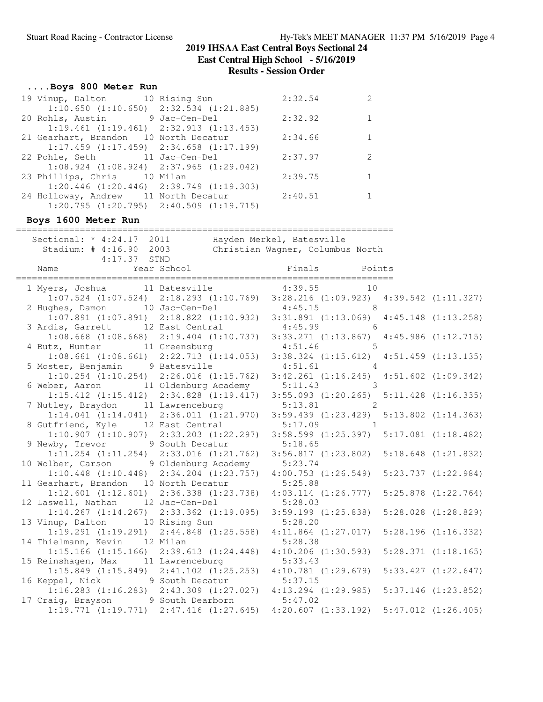# **....Boys 800 Meter Run**

| 19 Vinup, Dalton 10 Rising Sun                  | 2:32.54 | $\mathcal{L}$ |
|-------------------------------------------------|---------|---------------|
| $1:10.650$ $(1:10.650)$ $2:32.534$ $(1:21.885)$ |         |               |
| 20 Rohls, Austin 9 Jac-Cen-Del                  | 2:32.92 |               |
| $1:19.461$ $(1:19.461)$ $2:32.913$ $(1:13.453)$ |         |               |
| 21 Gearhart, Brandon 10 North Decatur           | 2:34.66 |               |
| $1:17.459$ $(1:17.459)$ $2:34.658$ $(1:17.199)$ |         |               |
|                                                 | 2:37.97 | $\mathcal{P}$ |
| $1:08.924$ $(1:08.924)$ $2:37.965$ $(1:29.042)$ |         |               |
| 23 Phillips, Chris 10 Milan                     | 2:39.75 |               |
| $1:20.446$ $(1:20.446)$ $2:39.749$ $(1:19.303)$ |         |               |
| 24 Holloway, Andrew 11 North Decatur 2:40.51    |         |               |
| $1:20.795$ $(1:20.795)$ $2:40.509$ $(1:19.715)$ |         |               |

### **Boys 1600 Meter Run**

=======================================================================

| Sectional: * 4:24.17 2011<br>Stadium: # 4:16.90 2003<br>$4:17.37$ STND                                                        | Hayden Merkel, Batesville<br>Christian Wagner, Columbus North |  |
|-------------------------------------------------------------------------------------------------------------------------------|---------------------------------------------------------------|--|
| Name That Mear School Finals Points<br>Finals Points (Par School Finals Points)                                               |                                                               |  |
| 1 Myers, Joshua 11 Batesville 4:39.55 10<br>$1:07.524$ (1:07.524) 2:18.293 (1:10.769) 3:28.216 (1:09.923) 4:39.542 (1:11.327) |                                                               |  |
| 2 Hughes, Damon 10 Jac-Cen-Del                                                                                                | $4:45.15$ 8                                                   |  |
| $1:07.891$ (1:07.891) 2:18.822 (1:10.932) 3:31.891 (1:13.069) 4:45.148 (1:13.258)                                             |                                                               |  |
| 3 Ardis, Garrett 12 East Central                                                                                              | $4:45.99$ 6                                                   |  |
| 1:08.668 (1:08.668) 2:19.404 (1:10.737) 3:33.271 (1:13.867) 4:45.986 (1:12.715)                                               |                                                               |  |
| 4 Butz, Hunter 11 Greensburg<br>1:08.661 (1:08.661) 2:22.713 (1:14.053) 3:38.324 (1:15.612) 4:51.459 (1:13.135)               | $4:51.46$ 5                                                   |  |
|                                                                                                                               |                                                               |  |
| 5 Moster, Benjamin 9 Batesville 4:51.61 4<br>1:10.254 (1:10.254) 2:26.016 (1:15.762) 3:42.261 (1:16.245) 4:51.602 (1:09.342)  |                                                               |  |
| 6 Weber, Aaron 11 Oldenburg Academy 5:11.43 3                                                                                 |                                                               |  |
| $1:15.412$ (1:15.412) $2:34.828$ (1:19.417) $3:55.093$ (1:20.265) $5:11.428$ (1:16.335)                                       |                                                               |  |
| 7 Nutley, Braydon 11 Lawrenceburg                                                                                             | $5:13.81$ 2                                                   |  |
| 1:14.041 (1:14.041) 2:36.011 (1:21.970) 3:59.439 (1:23.429) 5:13.802 (1:14.363)                                               |                                                               |  |
| 8 Gutfriend, Kyle 12 East Central                                                                                             | $5:17.09$ 1                                                   |  |
| 1:10.907 (1:10.907) 2:33.203 (1:22.297) 3:58.599 (1:25.397) 5:17.081 (1:18.482)                                               |                                                               |  |
| 9 Newby, Trevor 9 South Decatur<br>1:11.254 (1:11.254) 2:33.016 (1:21.762) 3:56.817 (1:23.802) 5:18.648 (1:21.832)            | 5:18.65                                                       |  |
| 10 Wolber, Carson 9 Oldenburg Academy 5:23.74                                                                                 |                                                               |  |
| $1:10.448$ (1:10.448) $2:34.204$ (1:23.757) $4:00.753$ (1:26.549) 5:23.737 (1:22.984)                                         |                                                               |  |
| 11 Gearhart, Brandon 10 North Decatur                                                                                         | 5:25.88                                                       |  |
| 1:12.601 (1:12.601) 2:36.338 (1:23.738) 4:03.114 (1:26.777) 5:25.878 (1:22.764)                                               |                                                               |  |
| 12 Laswell, Nathan 12 Jac-Cen-Del                                                                                             | 5:28.03                                                       |  |
| $1:14.267$ $(1:14.267)$ $2:33.362$ $(1:19.095)$                                                                               | $3:59.199$ $(1:25.838)$ $5:28.028$ $(1:28.829)$               |  |
| 13 Vinup, Dalton 10 Rising Sun                                                                                                | 5:28.20                                                       |  |
| 1:19.291 (1:19.291) 2:44.848 (1:25.558) 4:11.864 (1:27.017) 5:28.196 (1:16.332)<br>14 Thielmann, Kevin 12 Milan               | 5:28.38                                                       |  |
| 1:15.166 (1:15.166) 2:39.613 (1:24.448) 4:10.206 (1:30.593) 5:28.371 (1:18.165)                                               |                                                               |  |
| 15 Reinshagen, Max 11 Lawrenceburg                                                                                            | 5:33.43                                                       |  |
| 1:15.849 (1:15.849) 2:41.102 (1:25.253) 4:10.781 (1:29.679) 5:33.427 (1:22.647)                                               |                                                               |  |
| 16 Keppel, Nick 9 South Decatur                                                                                               | 5:37.15                                                       |  |
| $1:16.283$ (1:16.283) 2:43.309 (1:27.027) 4:13.294 (1:29.985) 5:37.146 (1:23.852)                                             |                                                               |  |
| 17 Craig, Brayson 9 South Dearborn 5:47.02                                                                                    |                                                               |  |
| 1:19.771 (1:19.771) 2:47.416 (1:27.645) 4:20.607 (1:33.192) 5:47.012 (1:26.405)                                               |                                                               |  |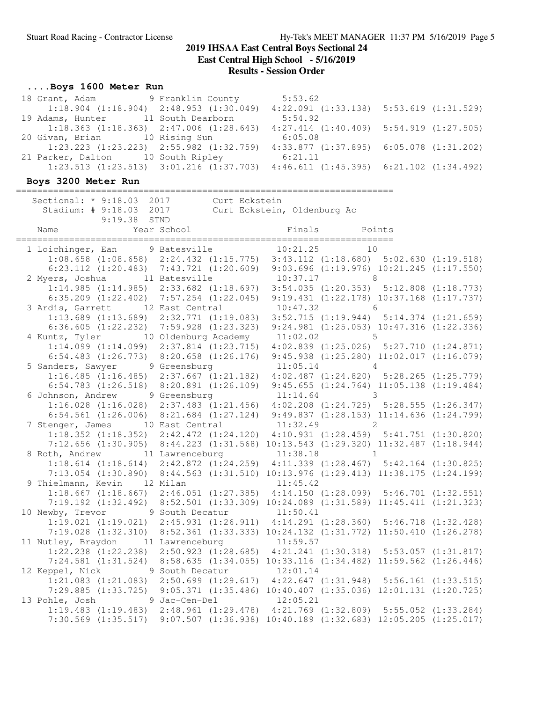# **....Boys 1600 Meter Run**

| 18 Grant, Adam 9 Franklin County |                                                 | 5:53.62 |                                                 |
|----------------------------------|-------------------------------------------------|---------|-------------------------------------------------|
|                                  | $1:18.904$ $(1:18.904)$ $2:48.953$ $(1:30.049)$ |         | $4:22.091$ $(1:33.138)$ $5:53.619$ $(1:31.529)$ |
| 19 Adams, Hunter                 | 11 South Dearborn                               | 5:54.92 |                                                 |
|                                  | $1:18.363$ $(1:18.363)$ $2:47.006$ $(1:28.643)$ |         | $4:27.414$ $(1:40.409)$ $5:54.919$ $(1:27.505)$ |
| 20 Givan, Brian                  | 10 Rising Sun                                   | 6:05.08 |                                                 |
|                                  | $1:23.223$ $(1:23.223)$ $2:55.982$ $(1:32.759)$ |         | $4:33.877$ $(1:37.895)$ $6:05.078$ $(1:31.202)$ |
| 21 Parker, Dalton                | 10 South Ripley                                 | 6:21.11 |                                                 |
|                                  | $1:23.513$ $(1:23.513)$ $3:01.216$ $(1:37.703)$ |         | $4:46.611$ $(1:45.395)$ $6:21.102$ $(1:34.492)$ |

## **Boys 3200 Meter Run**

| Sectional: * 9:18.03 2017<br>Stadium: # 9:18.03 2017<br>9:19.38 STND                                                                                                 | Curt Eckstein | Curt Eckstein, Oldenburg Ac |  |  |
|----------------------------------------------------------------------------------------------------------------------------------------------------------------------|---------------|-----------------------------|--|--|
| Year School<br>----------------------<br>Name                                                                                                                        |               | Finals Points               |  |  |
| 1 Loichinger, Ean 9 Batesville                                                                                                                                       |               | $10:21.25$ 10               |  |  |
| $1:08.658 (1:08.658) 2:24.432 (1:15.775) 3:43.112 (1:18.680) 5:02.630 (1:19.518)$                                                                                    |               |                             |  |  |
| 6:23.112 (1:20.483) 7:43.721 (1:20.609) 9:03.696 (1:19.976) 10:21.245 (1:17.550)                                                                                     |               |                             |  |  |
| 2 Myers, Joshua 11 Batesville                                                                                                                                        |               | $10:37.17$ 8                |  |  |
| 1:14.985 (1:14.985) 2:33.682 (1:18.697) 3:54.035 (1:20.353) 5:12.808 (1:18.773)                                                                                      |               |                             |  |  |
| 6:35.209 (1:22.402) 7:57.254 (1:22.045) 9:19.431 (1:22.178) 10:37.168 (1:17.737)                                                                                     |               |                             |  |  |
| 3 Ardis, Garrett 12 East Central 10:47.32 6                                                                                                                          |               |                             |  |  |
| 1:13.689 (1:13.689) 2:32.771 (1:19.083) 3:52.715 (1:19.944) 5:14.374 (1:21.659)                                                                                      |               |                             |  |  |
| 6:36.605 (1:22.232) 7:59.928 (1:23.323) 9:24.981 (1:25.053) 10:47.316 (1:22.336)                                                                                     |               |                             |  |  |
| 4 Kuntz, Tyler 10 Oldenburg Academy 11:02.02 5                                                                                                                       |               |                             |  |  |
| 1:14.099 (1:14.099) 2:37.814 (1:23.715) 4:02.839 (1:25.026) 5:27.710 (1:24.871)                                                                                      |               |                             |  |  |
| 6:54.483 (1:26.773) 8:20.658 (1:26.176) 9:45.938 (1:25.280) 11:02.017 (1:16.079)                                                                                     |               |                             |  |  |
| 5 Sanders, Sawyer 9 Greensburg 11:05.14 4                                                                                                                            |               |                             |  |  |
| 1:16.485 (1:16.485) 2:37.667 (1:21.182) 4:02.487 (1:24.820) 5:28.265 (1:25.779)                                                                                      |               |                             |  |  |
| 6:54.783 (1:26.518) 8:20.891 (1:26.109) 9:45.655 (1:24.764) 11:05.138 (1:19.484)                                                                                     |               |                             |  |  |
| 6 Johnson, Andrew 9 Greensburg                                                                                                                                       |               | $11:14.64$ 3                |  |  |
| 1:16.028 (1:16.028) 2:37.483 (1:21.456) 4:02.208 (1:24.725) 5:28.555 (1:26.347)                                                                                      |               |                             |  |  |
| 6:54.561 (1:26.006) 8:21.684 (1:27.124) 9:49.837 (1:28.153) 11:14.636 (1:24.799)                                                                                     |               |                             |  |  |
| 7 Stenger, James 10 East Central 11:32.49 2                                                                                                                          |               |                             |  |  |
| 1:18.352 (1:18.352) 2:42.472 (1:24.120) 4:10.931 (1:28.459) 5:41.751 (1:30.820)<br>7:12.656 (1:30.905) 8:44.223 (1:31.568) 10:13.543 (1:29.320) 11:32.487 (1:18.944) |               |                             |  |  |
|                                                                                                                                                                      |               |                             |  |  |
| 8 Roth, Andrew 11 Lawrenceburg 11:38.18 1<br>$1:18.614$ $(1:18.614)$ $2:42.872$ $(1:24.259)$ $4:11.339$ $(1:28.467)$ $5:42.164$ $(1:30.825)$                         |               |                             |  |  |
| 7:13.054 (1:30.890) 8:44.563 (1:31.510) 10:13.976 (1:29.413) 11:38.175 (1:24.199)                                                                                    |               |                             |  |  |
| 9 Thielmann, Kevin 12 Milan                                                                                                                                          |               | 11:45.42                    |  |  |
| 1:18.667 (1:18.667) 2:46.051 (1:27.385) 4:14.150 (1:28.099) 5:46.701 (1:32.551)                                                                                      |               |                             |  |  |
| 7:19.192 (1:32.492) 8:52.501 (1:33.309) 10:24.089 (1:31.589) 11:45.411 (1:21.323)                                                                                    |               |                             |  |  |
| 10 Newby, Trevor 9 South Decatur 11:50.41                                                                                                                            |               |                             |  |  |
| $1:19.021 (1:19.021) 2:45.931 (1:26.911) 4:14.291 (1:28.360) 5:46.718 (1:32.428)$                                                                                    |               |                             |  |  |
| 7:19.028 (1:32.310) 8:52.361 (1:33.333) 10:24.132 (1:31.772) 11:50.410 (1:26.278)                                                                                    |               |                             |  |  |
| 11 Nutley, Braydon 11 Lawrenceburg 11:59.57                                                                                                                          |               |                             |  |  |
| 1:22.238 (1:22.238) 2:50.923 (1:28.685) 4:21.241 (1:30.318) 5:53.057 (1:31.817)                                                                                      |               |                             |  |  |
| 7:24.581 (1:31.524) 8:58.635 (1:34.055) 10:33.116 (1:34.482) 11:59.562 (1:26.446)                                                                                    |               |                             |  |  |
| 12 Keppel, Nick 9 South Decatur 12:01.14                                                                                                                             |               |                             |  |  |
| $1:21.083 (1:21.083) 2:50.699 (1:29.617) 4:22.647 (1:31.948) 5:56.161 (1:33.515)$                                                                                    |               |                             |  |  |
| 7:29.885 (1:33.725) 9:05.371 (1:35.486) 10:40.407 (1:35.036) 12:01.131 (1:20.725)                                                                                    |               |                             |  |  |
| 13 Pohle, Josh 9 Jac-Cen-Del 12:05.21                                                                                                                                |               |                             |  |  |
| 1:19.483 (1:19.483) 2:48.961 (1:29.478) 4:21.769 (1:32.809) 5:55.052 (1:33.284)                                                                                      |               |                             |  |  |
| 7:30.569 (1:35.517) 9:07.507 (1:36.938) 10:40.189 (1:32.683) 12:05.205 (1:25.017)                                                                                    |               |                             |  |  |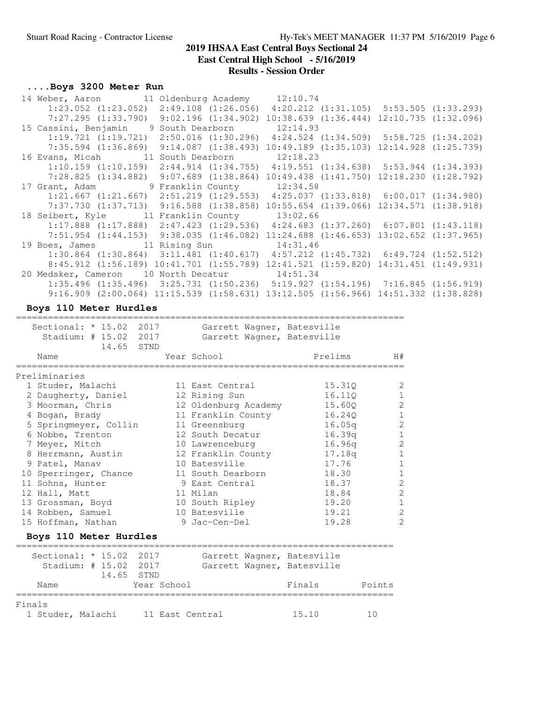**East Central High School - 5/16/2019**

### **Results - Session Order**

### **....Boys 3200 Meter Run**

| 14 Weber, Aaron 11 Oldenburg Academy 12:10.74                                                   |  |          |                                                   |  |
|-------------------------------------------------------------------------------------------------|--|----------|---------------------------------------------------|--|
| $1:23.052$ $(1:23.052)$ $2:49.108$ $(1:26.056)$ $4:20.212$ $(1:31.105)$ $5:53.505$ $(1:33.293)$ |  |          |                                                   |  |
| $7:27.295$ $(1:33.790)$ $9:02.196$ $(1:34.902)$                                                 |  |          | $10:38.639$ $(1:36.444)$ $12:10.735$ $(1:32.096)$ |  |
| 15 Cassini, Benjamin 9 South Dearborn                                                           |  | 12:14.93 |                                                   |  |
| $1:19.721$ $(1:19.721)$ $2:50.016$ $(1:30.296)$ $4:24.524$ $(1:34.509)$ $5:58.725$ $(1:34.202)$ |  |          |                                                   |  |
| $7:35.594$ $(1:36.869)$ $9:14.087$ $(1:38.493)$                                                 |  |          | $10:49.189$ $(1:35.103)$ $12:14.928$ $(1:25.739)$ |  |
| 16 Evans, Micah 11 South Dearborn 12:18.23                                                      |  |          |                                                   |  |
| $1:10.159$ $(1:10.159)$ $2:44.914$ $(1:34.755)$ $4:19.551$ $(1:34.638)$ $5:53.944$ $(1:34.393)$ |  |          |                                                   |  |
| $7:28.825$ $(1:34.882)$ $9:07.689$ $(1:38.864)$                                                 |  |          | $10:49.438$ $(1:41.750)$ $12:18.230$ $(1:28.792)$ |  |
| 17 Grant, Adam 9 Franklin County 12:34.58                                                       |  |          |                                                   |  |
| $1:21.667$ $(1:21.667)$ $2:51.219$ $(1:29.553)$ $4:25.037$ $(1:33.818)$ $6:00.017$ $(1:34.980)$ |  |          |                                                   |  |
| 7:37.730 (1:37.713) 9:16.588 (1:38.858) 10:55.654 (1:39.066) 12:34.571 (1:38.918)               |  |          |                                                   |  |
| 18 Seibert, Kyle 11 Franklin County 13:02.66                                                    |  |          |                                                   |  |
| $1:17.888$ $(1:17.888)$ $2:47.423$ $(1:29.536)$ $4:24.683$ $(1:37.260)$ $6:07.801$ $(1:43.118)$ |  |          |                                                   |  |
| $7:51.954$ $(1:44.153)$ $9:38.035$ $(1:46.082)$                                                 |  |          | $11:24.688$ $(1:46.653)$ $13:02.652$ $(1:37.965)$ |  |
| 19 Boes, James 11 Rising Sun 14:31.46                                                           |  |          |                                                   |  |
| $1:30.864$ $(1:30.864)$ $3:11.481$ $(1:40.617)$                                                 |  |          | $4:57.212$ $(1:45.732)$ $6:49.724$ $(1:52.512)$   |  |
| 8:45.912 (1:56.189) 10:41.701 (1:55.789) 12:41.521 (1:59.820) 14:31.451 (1:49.931)              |  |          |                                                   |  |
| 20 Medsker, Cameron 10 North Decatur 14:51.34                                                   |  |          |                                                   |  |
| $1:35.496$ $(1:35.496)$ $3:25.731$ $(1:50.236)$ $5:19.927$ $(1:54.196)$ $7:16.845$ $(1:56.919)$ |  |          |                                                   |  |
| 9:16.909 (2:00.064) 11:15.539 (1:58.631) 13:12.505 (1:56.966) 14:51.332 (1:38.828)              |  |          |                                                   |  |

#### **Boys 110 Meter Hurdles**

========================================================================= Sectional: \* 15.02 2017 Garrett Wagner, Batesville Stadium: # 15.02 2017 Garrett Wagner, Batesville 14.65 STND Name Tear School Prelims H# ========================================================================= Preliminaries 1 Studer, Malachi 11 East Central 15.31Q 2 2 Daugherty, Daniel 12 Rising Sun 16.11Q 1 3 Moorman, Chris 12 Oldenburg Academy 15.60Q 2 4 Bogan, Brady 11 Franklin County 16.24Q 1 5 Springmeyer, Collin 11 Greensburg 16.05q 2 6 Nobbe, Trenton 12 South Decatur 16.39q 1 7 Meyer, Mitch 10 Lawrenceburg 16.96q 2 8 Herrmann, Austin 12 Franklin County 17.18q 1 9 Patel, Manav 10 Batesville 17.76 1 10 Sperringer, Chance 11 South Dearborn 18.30 1 11 Sohns, Hunter 9 East Central 18.37 2 12 Hall, Matt 11 Milan 18.84 2 13 Grossman, Boyd 10 South Ripley 19.20 1 14 Robben, Samuel 10 Batesville 19.21 2 15 Hoffman, Nathan 9 Jac-Cen-Del 19.28 2

#### **Boys 110 Meter Hurdles**

| Sectional: * 15.02 2017     | Stadium: # 15.02 2017<br>14.65 STND |                 | Garrett Wagner, Batesville<br>Garrett Wagner, Batesville |        |        |
|-----------------------------|-------------------------------------|-----------------|----------------------------------------------------------|--------|--------|
| Name                        |                                     | Year School     |                                                          | Finals | Points |
| Finals<br>1 Studer, Malachi |                                     | 11 East Central |                                                          | 15.10  |        |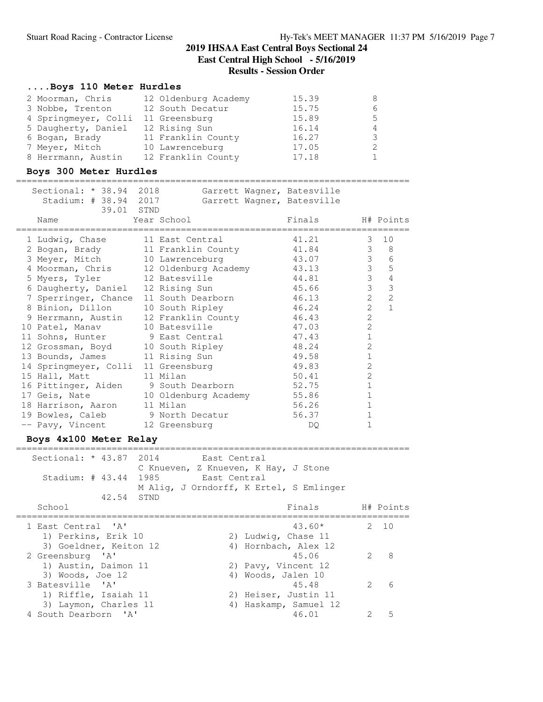### **....Boys 110 Meter Hurdles**

| 2 Moorman, Chris     | 12 Oldenburg Academy | 15.39 | 8 |
|----------------------|----------------------|-------|---|
| 3 Nobbe, Trenton     | 12 South Decatur     | 15.75 |   |
| 4 Springmeyer, Colli | 11 Greensburg        | 15.89 | 5 |
| 5 Daugherty, Daniel  | 12 Rising Sun        | 16.14 |   |
| 6 Bogan, Brady       | 11 Franklin County   | 16.27 |   |
| 7 Meyer, Mitch       | 10 Lawrenceburg      | 17.05 |   |
| 8 Herrmann, Austin   | 12 Franklin County   | 17.18 |   |

### **Boys 300 Meter Hurdles**

#### ==========================================================================

| Sectional: * 38.94 2018                 |                      | Garrett Wagner, Batesville |                |                 |
|-----------------------------------------|----------------------|----------------------------|----------------|-----------------|
| Stadium: # 38.94 2017                   |                      | Garrett Wagner, Batesville |                |                 |
| 39.01 STND                              |                      |                            |                |                 |
| Name                                    | Year School          | Finals                     |                | H# Points       |
| 1 Ludwig, Chase                         | 11 East Central      | 41.21                      |                | $3 \quad 10$    |
| 2 Bogan, Brady 11 Franklin County 41.84 |                      |                            |                | $3 \t 8$        |
| 3 Meyer, Mitch                          | 10 Lawrenceburg      | 43.07                      | 3 <sup>7</sup> | 6               |
| 4 Moorman, Chris                        | 12 Oldenburg Academy | 43.13                      | 3 <sup>7</sup> | $5\phantom{.0}$ |
| 5 Myers, Tyler                          | 12 Batesville        | 44.81                      | $\mathcal{S}$  | $\sqrt{4}$      |
| 6 Daugherty, Daniel                     | 12 Rising Sun        | 45.66                      | $\mathfrak{Z}$ | $\mathfrak{Z}$  |
| 7 Sperringer, Chance                    | 11 South Dearborn    | 46.13                      | $\overline{2}$ | $\overline{2}$  |
| 8 Binion, Dillon                        | 10 South Ripley      | 46.24                      | $\overline{2}$ | $\mathbf{1}$    |
| 9 Herrmann, Austin                      | 12 Franklin County   | 46.43                      | $\overline{2}$ |                 |
| 10 Patel, Manav                         | 10 Batesville        | 47.03                      | 2              |                 |
| 11 Sohns, Hunter 9 East Central         |                      | 47.43                      | $\mathbf{1}$   |                 |
| 12 Grossman, Boyd                       | 10 South Ripley      | 48.24                      | $\overline{2}$ |                 |
| 13 Bounds, James                        | 11 Rising Sun        | 49.58                      | $\mathbf{1}$   |                 |
| 14 Springmeyer, Colli                   | 11 Greensburg        | 49.83                      | $\overline{2}$ |                 |
| 15 Hall, Matt                           | 11 Milan             | 50.41                      | $\overline{2}$ |                 |
| 16 Pittinger, Aiden 9 South Dearborn    |                      | 52.75                      | $\mathbf{1}$   |                 |
| 17 Geis, Nate                           | 10 Oldenburg Academy | 55.86                      | $\mathbf{1}$   |                 |
| 18 Harrison, Aaron                      | 11 Milan             | 56.26                      | $1\,$          |                 |
| 19 Bowles, Caleb 9 North Decatur        |                      | 56.37                      | $\mathbf{1}$   |                 |
| -- Pavy, Vincent                        | 12 Greensburg        | DQ.                        | $\mathbf{1}$   |                 |
|                                         |                      |                            |                |                 |

#### **Boys 4x100 Meter Relay** ==========================================================================

| Sectional: * 43.87 2014 | C Knueven, Z Knueven, K Hay, J Stone    | - East Central        |                        |           |
|-------------------------|-----------------------------------------|-----------------------|------------------------|-----------|
| Stadium: # 43.44 1985   |                                         | East Central          |                        |           |
|                         | M Aliq, J Orndorff, K Ertel, S Emlinger |                       |                        |           |
| 42.54 STND              |                                         |                       |                        |           |
| School                  |                                         |                       | Finals                 | H# Points |
| 1 East Central 'A'      |                                         |                       | $43.60*$               | 2 10      |
| 1) Perkins, Erik 10     |                                         | 2) Ludwig, Chase 11   |                        |           |
| 3) Goeldner, Keiton 12  |                                         | 4) Hornbach, Alex 12  |                        |           |
| 2 Greensburg 'A'        |                                         |                       | $\mathcal{P}$<br>45.06 | - 8       |
| 1) Austin, Daimon 11    |                                         | 2) Pavy, Vincent 12   |                        |           |
| 3) Woods, Joe 12        |                                         | 4) Woods, Jalen 10    |                        |           |
| 3 Batesville 'A'        |                                         |                       | 45.48<br>$\mathcal{P}$ | 6         |
| 1) Riffle, Isaiah 11    |                                         | 2) Heiser, Justin 11  |                        |           |
| 3) Laymon, Charles 11   |                                         | 4) Haskamp, Samuel 12 |                        |           |
| 4 South Dearborn 'A'    |                                         |                       | 46.01                  | 5         |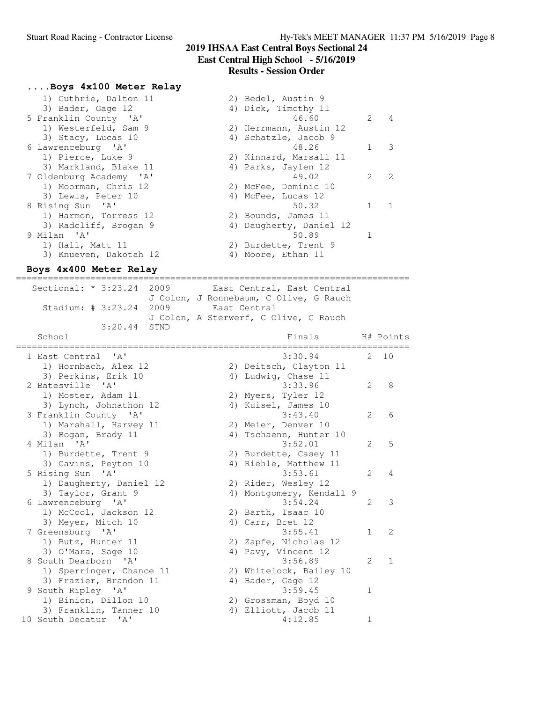#### **....Boys 4x100 Meter Relay**

| 1) Guthrie, Dalton 11   | 2) Bedel, Austin 9                      |  |
|-------------------------|-----------------------------------------|--|
| 3) Bader, Gage 12       | 4) Dick, Timothy 11                     |  |
| 5 Franklin County 'A'   | 46.60<br>2<br>$\overline{4}$            |  |
| 1) Westerfeld, Sam 9    | 2) Herrmann, Austin 12                  |  |
| 3) Stacy, Lucas 10      | 4) Schatzle, Jacob 9                    |  |
| 6 Lawrenceburg 'A'      | 48.26<br>-3                             |  |
| 1) Pierce, Luke 9       | 2) Kinnard, Marsall 11                  |  |
| 3) Markland, Blake 11   | 4) Parks, Jaylen 12                     |  |
| 7 Oldenburg Academy 'A' | $\mathcal{P}$<br>$\mathcal{P}$<br>49.02 |  |
| 1) Moorman, Chris 12    | 2) McFee, Dominic 10                    |  |
| 3) Lewis, Peter 10      | 4) McFee, Lucas 12                      |  |
| 8 Rising Sun 'A'        | 50.32                                   |  |
| 1) Harmon, Torress 12   | 2) Bounds, James 11                     |  |
| 3) Radcliff, Brogan 9   | 4) Daugherty, Daniel 12                 |  |
| 9 Milan 'A'             | 50.89                                   |  |
| 1) Hall, Matt 11        | 2) Burdette, Trent 9                    |  |
| 3) Knueven, Dakotah 12  | 4) Moore, Ethan 11                      |  |
|                         |                                         |  |

## **Boys 4x400 Meter Relay**

========================================================================== Sectional: \* 3:23.24 2009 East Central, East Central J Colon, J Ronnebaum, C Olive, G Rauch Stadium: # 3:23.24 2009 East Central J Colon, A Sterwerf, C Olive, G Rauch 3:20.44 STND School **Finals** H# Points ========================================================================== 1 East Central 'A' 3:30.94 2 10 1) Hornbach, Alex 12 2) Deitsch, Clayton 11 3) Perkins, Erik 10 4) Ludwig, Chase 11 2 Batesville 'A' 3:33.96 2 8 1) Moster, Adam 11 2) Myers, Tyler 12 3) Lynch, Johnathon 12 4) Kuisel, James 10 3 Franklin County 'A' 3:43.40 2 6 1) Marshall, Harvey 11 2) Meier, Denver 10 3) Bogan, Brady 11 4) Tschaenn, Hunter 10 4 Milan 'A' 3:52.01 2 5 1) Burdette, Trent 9 2) Burdette, Casey 11 3) Cavins, Peyton 10  $\hskip1cm$  4) Riehle, Matthew 11 5 Rising Sun 'A' 3:53.61 2 4 1) Daugherty, Daniel 12 2) Rider, Wesley 12 3) Taylor, Grant 9 4) Montgomery, Kendall 9 6 Lawrenceburg 'A' 3:54.24 2 3 1) McCool, Jackson 12 2) Barth, Isaac 10 3) Meyer, Mitch 10 4) Carr, Bret 12 7 Greensburg 'A' 3:55.41 1 2 1) Butz, Hunter 11 2) Zapfe, Nicholas 12 3) O'Mara, Sage 10 4) Pavy, Vincent 12 8 South Dearborn 'A' 3:56.89 2 1 1) Sperringer, Chance 11 2) Whitelock, Bailey 10 3) Frazier, Brandon 11 (4) Bader, Gage 12 9 South Ripley 'A' 3:59.45 1 1) Binion, Dillon 10 2) Grossman, Boyd 10 3) Franklin, Tanner 10 (4) Elliott, Jacob 11 10 South Decatur 'A' 4:12.85 1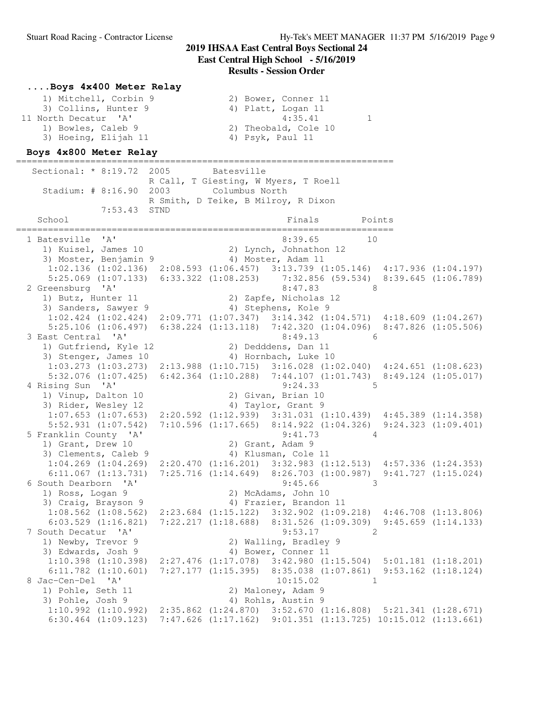### **....Boys 4x400 Meter Relay**

| 1) Mitchell, Corbin 9 | 2) Bower, Conner 11  |
|-----------------------|----------------------|
| 3) Collins, Hunter 9  | 4) Platt, Logan 11   |
| 11 North Decatur 'A'  | 4:35.41              |
| 1) Bowles, Caleb 9    | 2) Theobald, Cole 10 |
| 3) Hoeing, Elijah 11  | 4) Psyk, Paul 11     |

#### **Boys 4x800 Meter Relay**

======================================================================= Sectional: \* 8:19.72 2005 Batesville R Call, T Giesting, W Myers, T Roell Stadium: # 8:16.90 2003 Columbus North R Smith, D Teike, B Milroy, R Dixon 7:53.43 STND School Finals Points Points ======================================================================= 1 Batesville 'A' 8:39.65 10 1) Kuisel, James 10 2) Lynch, Johnathon 12 3) Moster, Benjamin 9 (4) Moster, Adam 11 1:02.136 (1:02.136) 2:08.593 (1:06.457) 3:13.739 (1:05.146) 4:17.936 (1:04.197) 5:25.069 (1:07.133) 6:33.322 (1:08.253) 7:32.856 (59.534) 8:39.645 (1:06.789) 2 Greensburg 'A' 8:47.83 8 1) Butz, Hunter 11 2) Zapfe, Nicholas 12 3) Sanders, Sawyer 9 (4) Stephens, Kole 9 1:02.424 (1:02.424) 2:09.771 (1:07.347) 3:14.342 (1:04.571) 4:18.609 (1:04.267) 5:25.106 (1:06.497) 6:38.224 (1:13.118) 7:42.320 (1:04.096) 8:47.826 (1:05.506) 3 East Central 'A' 8:49.13 6 1) Gutfriend, Kyle 12 2) Dedddens, Dan 11 3) Stenger, James 10 (4) Hornbach, Luke 10 1:03.273 (1:03.273) 2:13.988 (1:10.715) 3:16.028 (1:02.040) 4:24.651 (1:08.623) 5:32.076 (1:07.425) 6:42.364 (1:10.288) 7:44.107 (1:01.743) 8:49.124 (1:05.017) 4 Rising Sun 'A' 9:24.33 5 1) Vinup, Dalton 10 2) Givan, Brian 10 3) Rider, Wesley 12 4) Taylor, Grant 9 1:07.653 (1:07.653) 2:20.592 (1:12.939) 3:31.031 (1:10.439) 4:45.389 (1:14.358) 5:52.931 (1:07.542) 7:10.596 (1:17.665) 8:14.922 (1:04.326) 9:24.323 (1:09.401) 5 Franklin County 'A' 9:41.73 4<br>1) Grant, Drew 10 2) Grant, Adam 9 1) Grant, Drew 10 3) Clements, Caleb 9 4) Klusman, Cole 11 1:04.269 (1:04.269) 2:20.470 (1:16.201) 3:32.983 (1:12.513) 4:57.336 (1:24.353) 6:11.067 (1:13.731) 7:25.716 (1:14.649) 8:26.703 (1:00.987) 9:41.727 (1:15.024) 6 South Dearborn 'A' 9:45.66 3 1) Ross, Logan 9 2) McAdams, John 10 3) Craig, Brayson 9 (4) Frazier, Brandon 11 1:08.562 (1:08.562) 2:23.684 (1:15.122) 3:32.902 (1:09.218) 4:46.708 (1:13.806) 6:03.529 (1:16.821) 7:22.217 (1:18.688) 8:31.526 (1:09.309) 9:45.659 (1:14.133)<br>
9:53.17 2 7 South Decatur 'A' 9:53.17 2 1) Newby, Trevor 9 2) Walling, Bradley 9 3) Edwards, Josh 9 4) Bower, Conner 11 1:10.398 (1:10.398) 2:27.476 (1:17.078) 3:42.980 (1:15.504) 5:01.181 (1:18.201) 6:11.782 (1:10.601) 7:27.177 (1:15.395) 8:35.038 (1:07.861) 9:53.162 (1:18.124) 8 Jac-Cen-Del 'A' 10:15.02 1 1) Pohle, Seth 11 2) Maloney, Adam 9 3) Pohle, Josh 9 4) Rohls, Austin 9 1:10.992 (1:10.992) 2:35.862 (1:24.870) 3:52.670 (1:16.808) 5:21.341 (1:28.671) 6:30.464 (1:09.123) 7:47.626 (1:17.162) 9:01.351 (1:13.725) 10:15.012 (1:13.661)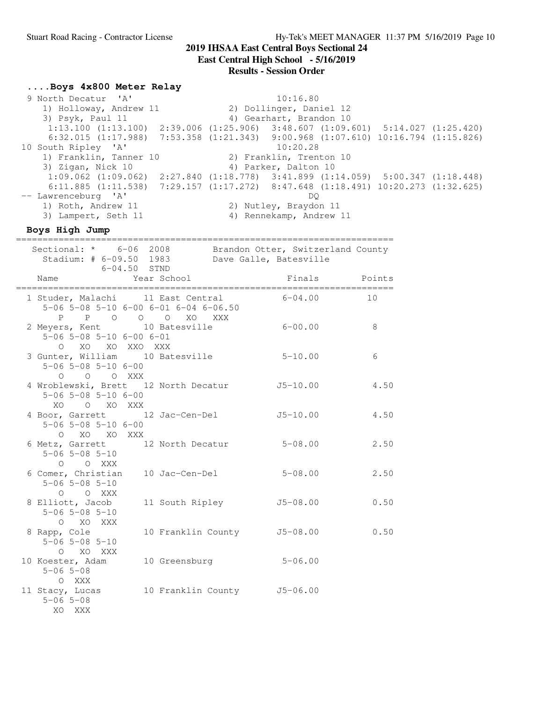**East Central High School - 5/16/2019**

#### **Results - Session Order**

### **....Boys 4x800 Meter Relay**

9 North Decatur 'A' 10:16.80 1) Holloway, Andrew 11 2) Dollinger, Daniel 12<br>
3) Psyk, Paul 11 3) Gearhart, Brandon 10 4) Gearhart, Brandon 10 1:13.100 (1:13.100) 2:39.006 (1:25.906) 3:48.607 (1:09.601) 5:14.027 (1:25.420) 6:32.015 (1:17.988) 7:53.358 (1:21.343) 9:00.968 (1:07.610) 10:16.794 (1:15.826) 10 South Ripley 'A' 10:20.28 1) Franklin, Tanner 10 2) Franklin, Trenton 10<br>1) Franklin, Tanner 10 2) Franklin, Trenton 10 3) Zigan, Nick 10 4) Parker, Dalton 10 1:09.062 (1:09.062) 2:27.840 (1:18.778) 3:41.899 (1:14.059) 5:00.347 (1:18.448) 6:11.885 (1:11.538) 7:29.157 (1:17.272) 8:47.648 (1:18.491) 10:20.273 (1:32.625)<br>-- Lawrenceburg 'A' DQ -- Lawrenceburg 'A' DQ 1) Roth, Andrew 11 2) Nutley, Braydon 11 3) Lampert, Seth 11 4) Rennekamp, Andrew 11

#### **Boys High Jump**

| Sectional: * 6-06 2008 Brandon Otter, Switzerland County<br>Stadium: # 6-09.50 1983 Dave Galle, Batesville   |                             |               |      |
|--------------------------------------------------------------------------------------------------------------|-----------------------------|---------------|------|
| $6 - 04.50$ STND<br>Name                                                                                     | Year School                 | Finals Points |      |
| 1 Studer, Malachi 11 East Central<br>$5-06$ $5-08$ $5-10$ $6-00$ $6-01$ $6-04$ $6-06.50$<br>P P O O O XO XXX |                             | $6 - 04.00$   | 10   |
| 2 Meyers, Kent 10 Batesville<br>$5-06$ $5-08$ $5-10$ $6-00$ $6-01$<br>O XO XO XXO XXX                        |                             | $6 - 00.00$   | 8    |
| 3 Gunter, William 10 Batesville<br>$5 - 06$ $5 - 08$ $5 - 10$ $6 - 00$<br>O O O XXX                          |                             | $5 - 10.00$   | 6    |
| 4 Wroblewski, Brett 12 North Decatur<br>$5 - 06$ $5 - 08$ $5 - 10$ $6 - 00$<br>XO O XO XXX                   |                             | $J5-10.00$    | 4.50 |
| 4 Boor, Garrett 12 Jac-Cen-Del J5-10.00<br>$5 - 06$ $5 - 08$ $5 - 10$ $6 - 00$<br>O XO XO XXX                |                             |               | 4.50 |
| 6 Metz, Garrett 12 North Decatur 5-08.00<br>$5 - 06$ $5 - 08$ $5 - 10$<br>O O XXX                            |                             |               | 2.50 |
| 6 Comer, Christian 10 Jac-Cen-Del<br>$5 - 06$ $5 - 08$ $5 - 10$<br>O O XXX                                   |                             | $5 - 08.00$   | 2.50 |
| 8 Elliott, Jacob<br>$5 - 06$ $5 - 08$ $5 - 10$<br>O XO XXX                                                   | 11 South Ripley J5-08.00    |               | 0.50 |
| 8 Rapp, Cole<br>$5 - 06$ $5 - 08$ $5 - 10$<br>O XO XXX                                                       | 10 Franklin County J5-08.00 |               | 0.50 |
| 10 Koester, Adam 10 Greensburg<br>$5 - 06$ $5 - 08$<br>O XXX                                                 |                             | $5 - 06.00$   |      |
| 11 Stacy, Lucas 10 Franklin County 5-06.00<br>$5 - 06$ $5 - 08$<br>XO XXX                                    |                             |               |      |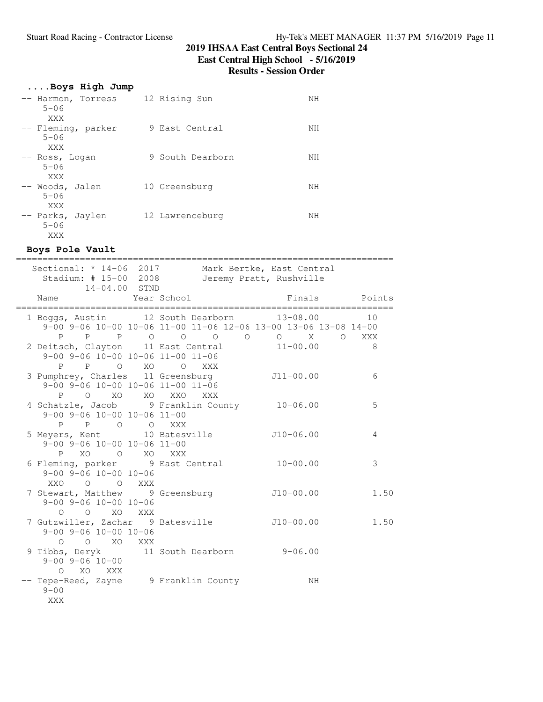**East Central High School - 5/16/2019**

### **Results - Session Order**

# **....Boys High Jump**

| -- Harmon, Torress<br>$5 - 06$<br>XXX | 12 Rising Sun    | NΗ |
|---------------------------------------|------------------|----|
| -- Fleming, parker<br>$5 - 06$<br>XXX | 9 East Central   | NΗ |
| -- Ross, Logan<br>$5 - 06$<br>XXX     | 9 South Dearborn | NΗ |
| -- Woods, Jalen<br>$5 - 06$<br>XXX    | 10 Greensburg    | NΗ |
| -- Parks, Jaylen<br>$5 - 06$<br>XXX   | 12 Lawrenceburg  | NΗ |

# **Boys Pole Vault**

| Sectional: * 14-06 2017 Mark Bertke, East Central<br>Stadium: # 15-00 2008 Jeremy Pratt, Rushville |
|----------------------------------------------------------------------------------------------------|
| Finals Points<br>Year School<br>:===========                                                       |
| 1 Boggs, Austin 12 South Dearborn 13-08.00<br>10                                                   |
| 9-00 9-06 10-00 10-06 11-00 11-06 12-06 13-00 13-06 13-08 14-00                                    |
| P P P O O O O O X O XXX                                                                            |
| 2 Deitsch, Clayton 11 East Central 11-00.00<br>8                                                   |
| 9-00 9-06 10-00 10-06 11-00 11-06                                                                  |
| P P O XO O XXX                                                                                     |
| 3 Pumphrey, Charles 11 Greensburg<br>$J11 - 00.00$<br>6                                            |
| $9-00$ $9-06$ $10-00$ $10-06$ $11-00$ $11-06$                                                      |
| P O XO XO XXO XXX                                                                                  |
| 4 Schatzle, Jacob 9 Franklin County 10-06.00<br>5                                                  |
|                                                                                                    |
|                                                                                                    |
| 5 Meyers, Kent 10 Batesville 5 10-06.00<br>4                                                       |
|                                                                                                    |
| 6 Fleming, parker 9 East Central 10-00.00<br>3                                                     |
|                                                                                                    |
|                                                                                                    |
| 7 Stewart, Matthew 9 Greensburg 510-00.00<br>1.50                                                  |
|                                                                                                    |
|                                                                                                    |
| 7 Gutzwiller, Zachar 9 Batesville 510-00.00<br>1.50                                                |
|                                                                                                    |
|                                                                                                    |
| 9 Tibbs, Deryk 11 South Dearborn 9-06.00                                                           |
|                                                                                                    |
|                                                                                                    |
| -- Tepe-Reed, Zayne 9 Franklin County<br>NH                                                        |
|                                                                                                    |
|                                                                                                    |
|                                                                                                    |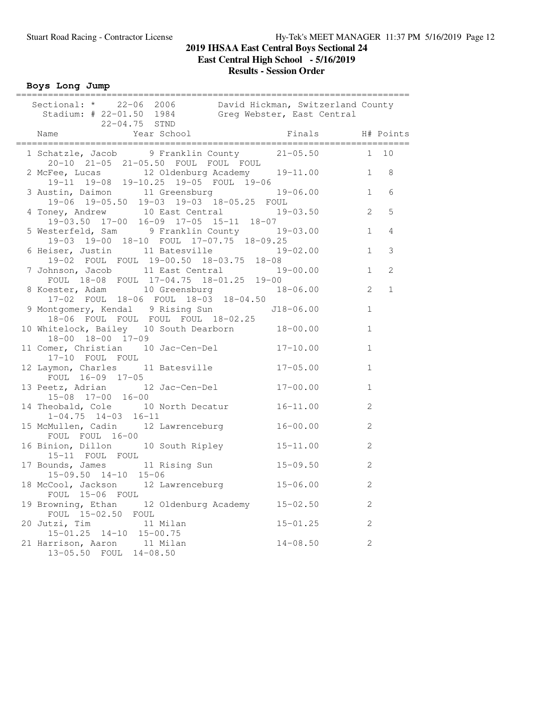**Boys Long Jump**

| Sectional: * 22-06 2006 David Hickman, Switzerland County<br>Stadium: # 22-01.50 1984 Greg Webster, East Central<br>22-04.75 STND |              |                |
|-----------------------------------------------------------------------------------------------------------------------------------|--------------|----------------|
| Finals H# Points<br>Name                                                                                                          |              |                |
| 1 Schatzle, Jacob 9 Franklin County 21-05.50 1 10<br>20-10 21-05 21-05.50 FOUL FOUL FOUL                                          |              |                |
| 2 McFee, Lucas 12 Oldenburg Academy 19-11.00 1 8<br>19-11 19-08 19-10.25 19-05 FOUL 19-06                                         |              |                |
| 3 Austin, Daimon 11 Greensburg 19-06.00 1<br>19-06 19-05.50 19-03 19-03 18-05.25 FOUL                                             |              | 6              |
| 4 Toney, Andrew 10 East Central 19-03.50<br>19-03.50 17-00 16-09 17-05 15-11 18-07                                                | 2            | 5              |
| 5 Westerfeld, Sam 9 Franklin County 19-03.00<br>19-03 19-00 18-10 FOUL 17-07.75 18-09.25                                          | $\mathbf{1}$ | $\overline{4}$ |
| 6 Heiser, Justin 11 Batesville 19-02.00<br>19-02 FOUL FOUL 19-00.50 18-03.75 18-08                                                | 1            | $\mathcal{S}$  |
| 7 Johnson, Jacob 11 East Central 19-00.00<br>FOUL 18-08 FOUL 17-04.75 18-01.25 19-00                                              | $\mathbf{1}$ | 2              |
| 8 Koester, Adam 10 Greensburg 18-06.00<br>17-02 FOUL 18-06 FOUL 18-03 18-04.50                                                    | 2            | $\mathbf{1}$   |
| 9 Montgomery, Kendal 9 Rising Sun<br>18-06 FOUL FOUL FOUL FOUL 18-02.25<br>$J18 - 06.00$                                          | $\mathbf{1}$ |                |
| 10 Whitelock, Bailey 10 South Dearborn 18-00.00<br>18-00 18-00 17-09                                                              | $\mathbf{1}$ |                |
| 11 Comer, Christian 10 Jac-Cen-Del 17-10.00<br>17-10 FOUL FOUL                                                                    | $\mathbf{1}$ |                |
| 12 Laymon, Charles 11 Batesville<br>$17 - 05.00$<br>FOUL 16-09 17-05                                                              | $\mathbf{1}$ |                |
| 13 Peetz, Adrian 12 Jac-Cen-Del<br>$17 - 00.00$<br>15-08 17-00 16-00                                                              | $\mathbf{1}$ |                |
| 14 Theobald, Cole 10 North Decatur 16-11.00<br>$1-04.75$ $14-03$ $16-11$                                                          | 2            |                |
| 15 McMullen, Cadin 12 Lawrenceburg<br>$16 - 00.00$<br>FOUL FOUL 16-00                                                             | 2            |                |
| 16 Binion, Dillon 10 South Ripley 15-11.00<br>15-11 FOUL FOUL                                                                     | 2            |                |
| 17 Bounds, James 11 Rising Sun 15-09.50<br>15-09.50 14-10 15-06                                                                   | 2            |                |
| 18 McCool, Jackson 12 Lawrenceburg<br>$15 - 06.00$<br>FOUL 15-06 FOUL                                                             | 2            |                |
| 19 Browning, Ethan<br>12 Oldenburg Academy<br>$15 - 02.50$<br>FOUL 15-02.50<br>FOUL                                               | 2            |                |
| 20 Jutzi, Tim<br>11 Milan<br>$15 - 01.25$<br>$15 - 01.25$ $14 - 10$<br>$15 - 00.75$                                               | 2            |                |
| 21 Harrison, Aaron<br>11 Milan<br>$14 - 08.50$<br>13-05.50 FOUL<br>$14 - 08.50$                                                   | 2            |                |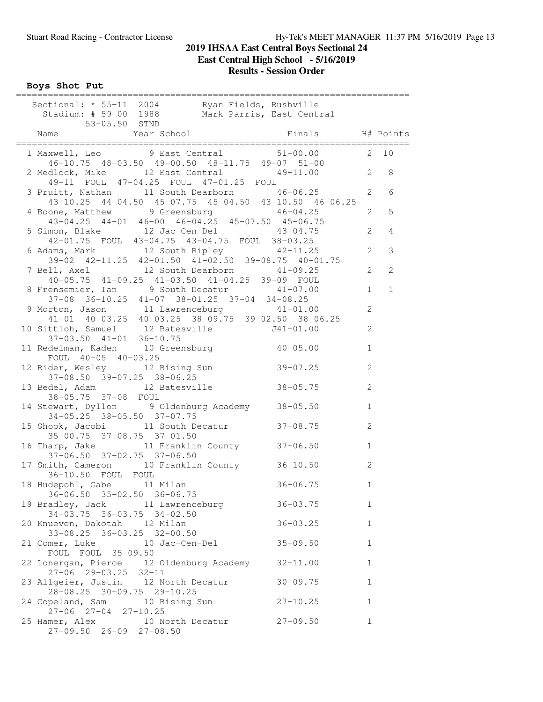**Boys Shot Put**

| Sectional: * 55-11 2004 Ryan Fields, Rushville<br>Stadium: # 59-00 1988 Mark Parris, East Central<br>53-05.50 STND                           |              |                  |
|----------------------------------------------------------------------------------------------------------------------------------------------|--------------|------------------|
|                                                                                                                                              |              |                  |
| 1 Maxwell, Leo 9 East Central 51-00.00 2 10<br>46-10.75 48-03.50 49-00.50 48-11.75 49-07 51-00                                               |              |                  |
| 2 Medlock, Mike 12 East Central 49-11.00 2 8<br>49-11 FOUL 47-04.25 FOUL 47-01.25 FOUL                                                       |              |                  |
| 3 Pruitt, Nathan 11 South Dearborn 46-06.25 2<br>$43-10.25$ $44-04.50$ $45-07.75$ $45-04.50$ $43-10.50$ $46-06.25$                           |              | 6                |
| 4 Boone, Matthew 9 Greensburg 46-04.25<br>$43-04.25$ $44-01$ $46-00$ $46-04.25$ $45-07.50$ $45-06.75$                                        |              | 5<br>$2^{\circ}$ |
| 5 Simon, Blake 12 Jac-Cen-Del 43-04.75<br>42-01.75 FOUL 43-04.75 43-04.75 FOUL 38-03.25                                                      | 2            | $\overline{4}$   |
| 6 Adams, Mark 12 South Ripley 42-11.25<br>39-02 42-11.25 42-01.50 41-02.50 39-08.75 40-01.75                                                 | $2^{\circ}$  | $\mathcal{E}$    |
| 7 Bell, Axel 12 South Dearborn 41-09.25<br>40-05.75 41-09.25 41-03.50 41-04.25 39-09 FOUL                                                    | 2            | 2                |
| 8 Frensemier, Ian 9 South Decatur 41-07.00<br>37-08 36-10.25 41-07 38-01.25 37-04 34-08.25                                                   | $\mathbf{1}$ | $\mathbf{1}$     |
| 9 Morton, Jason 11 Lawrenceburg 41-01.00<br>41-01 40-03.25 40-03.25 38-09.75 39-02.50 38-06.25<br>10 Sittloh, Samuel 12 Batesville J41-01.00 | 2            |                  |
| $37-03.50$ $41-01$ $36-10.75$                                                                                                                | $\mathbf{2}$ |                  |
| 11 Redelman, Kaden 10 Greensburg 10-05.00<br>FOUL 40-05 40-03.25                                                                             | $\mathbf{1}$ |                  |
| 12 Rider, Wesley 12 Rising Sun<br>$39 - 07.25$<br>$37-08.50$ $39-07.25$ $38-06.25$                                                           | $\mathbf{2}$ |                  |
| 13 Bedel, Adam 12 Batesville 38-05.75<br>38-05.75 37-08 FOUL                                                                                 | 2            |                  |
| 14 Stewart, Dyllon 9 Oldenburg Academy 38-05.50<br>34-05.25 38-05.50 37-07.75                                                                | $\mathbf{1}$ |                  |
| 15 Shook, Jacobi 11 South Decatur 37-08.75<br>35-00.75 37-08.75 37-01.50                                                                     | 2            |                  |
| 16 Tharp, Jake 11 Franklin County 37-06.50<br>37-06.50 37-02.75 37-06.50                                                                     | $\mathbf{1}$ |                  |
| 17 Smith, Cameron 10 Franklin County 36-10.50<br>36-10.50 FOUL FOUL                                                                          | $\mathbf{2}$ |                  |
| 18 Hudepohl, Gabe 11 Milan<br>$36 - 06.75$<br>$36-06.50$ $35-02.50$ $36-06.75$                                                               | 1            |                  |
| 19 Bradley, Jack 11 Lawrenceburg<br>$36 - 03.75$<br>34-03.75 36-03.75 34-02.50                                                               | 1            |                  |
| 20 Knueven, Dakotah 12 Milan<br>$36 - 03.25$<br>33-08.25 36-03.25 32-00.50                                                                   | $\mathbf{1}$ |                  |
| $35 - 09.50$<br>21 Comer, Luke 10 Jac-Cen-Del<br>FOUL FOUL 35-09.50                                                                          | $\mathbf{1}$ |                  |
| 22 Lonergan, Pierce 12 Oldenburg Academy 32-11.00<br>$27 - 06$ 29-03.25 32-11                                                                | $\mathbf{1}$ |                  |
| 23 Allgeier, Justin 12 North Decatur<br>$30 - 09.75$<br>28-08.25 30-09.75 29-10.25                                                           | $\mathbf{1}$ |                  |
| 24 Copeland, Sam 10 Rising Sun 27-10.25                                                                                                      | $\mathbf{1}$ |                  |
| 27-06 27-04 27-10.25<br>25 Hamer, Alex 10 North Decatur 27-09.50<br>$27-09.50$ $26-09$ $27-08.50$                                            | $\mathbf{1}$ |                  |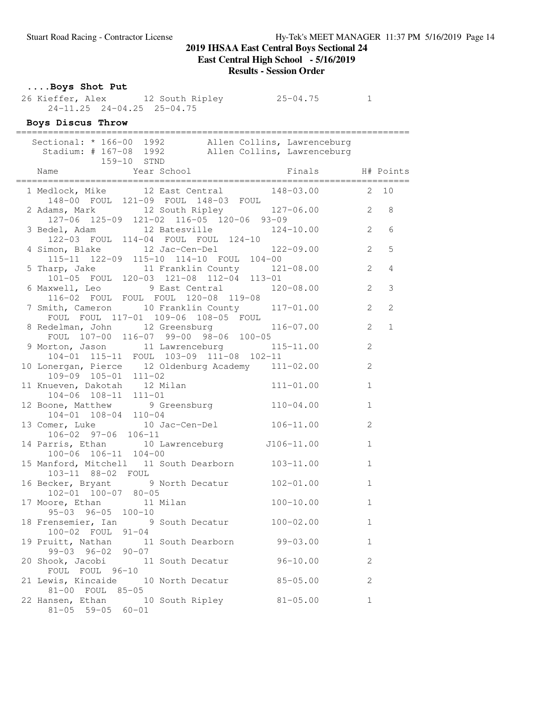**East Central High School - 5/16/2019**

### **Results - Session Order**

### **....Boys Shot Put**

 26 Kieffer, Alex 12 South Ripley 25-04.75 1 24-11.25 24-04.25 25-04.75

## **Boys Discus Throw**

| Sectional: * 166-00 1992 Allen Collins, Lawrenceburg<br>Stadium: # 167-08 1992 Allen Collins, Lawrenceburg<br>159-10 STND |                  |                |                |
|---------------------------------------------------------------------------------------------------------------------------|------------------|----------------|----------------|
|                                                                                                                           | Finals H# Points |                |                |
| 1 Medlock, Mike 12 East Central 148-03.00 2 10<br>148-00 FOUL 121-09 FOUL 148-03 FOUL                                     |                  |                |                |
| 2 Adams, Mark 12 South Ripley 127-06.00 2<br>127-06 125-09 121-02 116-05 120-06 93-09                                     |                  |                | 8              |
| 3 Bedel, Adam 12 Batesville 124-10.00 2<br>122-03 FOUL 114-04 FOUL FOUL 124-10                                            |                  |                | 6              |
| 4 Simon, Blake 12 Jac-Cen-Del 122-09.00<br>115-11 122-09 115-10 114-10 FOUL 104-00                                        |                  | $\overline{2}$ | 5              |
| 5 Tharp, Jake 11 Franklin County 121-08.00<br>101-05 FOUL 120-03 121-08 112-04 113-01                                     |                  | 2              | $\overline{4}$ |
| 6 Maxwell, Leo 9 East Central 120-08.00<br>116-02 FOUL FOUL FOUL 120-08 119-08                                            |                  | 2              | 3              |
| 7 Smith, Cameron 10 Franklin County 117-01.00<br>FOUL FOUL 117-01 109-06 108-05 FOUL                                      |                  | $\overline{2}$ | $\overline{2}$ |
| 8 Redelman, John 12 Greensburg 116-07.00<br>FOUL $107-00$ 116-07 99-00 98-06 100-05                                       |                  | 2              | $\mathbf{1}$   |
| 9 Morton, Jason 11 Lawrenceburg 115-11.00<br>104-01 115-11 FOUL 103-09 111-08 102-11                                      |                  | 2              |                |
| 10 Lonergan, Pierce 12 Oldenburg Academy 111-02.00<br>$109-09$ $105-01$ $111-02$                                          |                  | 2              |                |
| 11 Knueven, Dakotah 12 Milan 111-01.00<br>$104-06$ $108-11$ $111-01$                                                      |                  | $\mathbf{1}$   |                |
| 12 Boone, Matthew 9 Greensburg 110-04.00<br>104-01 108-04 110-04                                                          |                  | $\mathbf{1}$   |                |
| 13 Comer, Luke 10 Jac-Cen-Del 106-11.00<br>$106-02$ 97-06 106-11                                                          |                  | $\mathbf{2}$   |                |
| 14 Parris, Ethan 10 Lawrenceburg J106-11.00<br>$100-06$ $106-11$ $104-00$                                                 |                  | $\mathbf{1}$   |                |
| 15 Manford, Mitchell 11 South Dearborn 103-11.00<br>103-11 88-02 FOUL                                                     |                  | $\mathbf{1}$   |                |
| 16 Becker, Bryant 9 North Decatur 102-01.00<br>102-01 100-07 80-05                                                        |                  | $\mathbf{1}$   |                |
| 17 Moore, Ethan 11 Milan<br>95-03 96-05 100-10                                                                            | $100 - 10.00$    | $\mathbf{1}$   |                |
| 18 Frensemier, Ian 9 South Decatur<br>100-02 FOUL 91-04                                                                   | $100 - 02.00$    | $\mathbf{1}$   |                |
| 19 Pruitt, Nathan 11 South Dearborn<br>$99-03$ $96-02$ $90-07$                                                            | $99 - 03.00$     | 1              |                |
| 20 Shook, Jacobi 11 South Decatur<br>FOUL FOUL 96-10                                                                      | $96 - 10.00$     | $\mathbf{2}$   |                |
| 21 Lewis, Kincaide 10 North Decatur<br>81-00 FOUL 85-05                                                                   | $85 - 05.00$     | 2              |                |
| 22 Hansen, Ethan 10 South Ripley<br>$81-05$ 59-05 60-01                                                                   | $81 - 05.00$     | 1              |                |